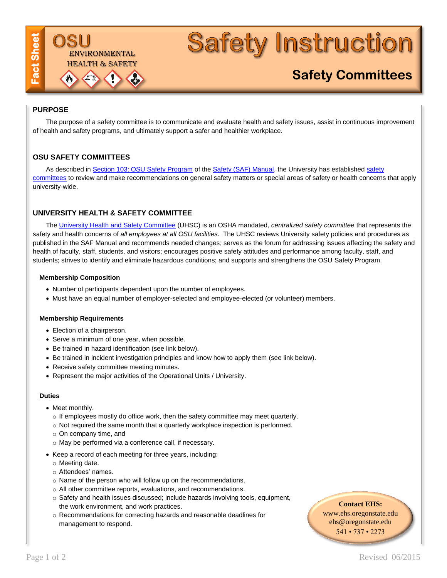# **Safety Instruction**

# **Safety Committees**

# **PURPOSE**

The purpose of a safety committee is to communicate and evaluate health and safety issues, assist in continuous improvement of health and safety programs, and ultimately support a safer and healthier workplace.

# **OSU SAFETY COMMITTEES**

As described in [Section 103: OSU Safety Program](http://fa.oregonstate.edu/saf-manual/100-general-safety/103-osu-safety-program) of th[e Safety \(SAF\) Manual,](http://oregonstate.edu/fa/manuals/saf) the University has established [safety](http://oregonstate.edu/ehs/safety-committees)  [committees](http://oregonstate.edu/ehs/safety-committees) to review and make recommendations on general safety matters or special areas of safety or health concerns that apply university-wide.

# **UNIVERSITY HEALTH & SAFETY COMMITTEE**

TRONMENTAL [HEALTH & SAFETY](http://ehs.oregonstate.edu)

The [University Health and Safety Committee](http://oregonstate.edu/ehs/casc) (UHSC) is an OSHA mandated, *centralized safety committee* that represents the safety and health concerns of *all employees at all OSU facilities*. The UHSC reviews University safety policies and procedures as published in the SAF Manual and recommends needed changes; serves as the forum for addressing issues affecting the safety and health of faculty, staff, students, and visitors; encourages positive safety attitudes and performance among faculty, staff, and students; strives to identify and eliminate hazardous conditions; and supports and strengthens the OSU Safety Program.

#### **Membership Composition**

- Number of participants dependent upon the number of employees.
- Must have an equal number of employer-selected and employee-elected (or volunteer) members.

#### **Membership Requirements**

- Election of a chairperson.
- Serve a minimum of one year, when possible.
- Be trained in hazard identification (see link below).
- Be trained in incident investigation principles and know how to apply them (see link below).
- Receive safety committee meeting minutes.
- Represent the major activities of the Operational Units / University.

#### **Duties**

- Meet monthly.
	- $\circ$  If employees mostly do office work, then the safety committee may meet quarterly.
	- o Not required the same month that a quarterly workplace inspection is performed.
	- o On company time, and
	- o May be performed via a conference call, if necessary.
- Keep a record of each meeting for three years, including:
	- o Meeting date.
	- o Attendees' names.
	- o Name of the person who will follow up on the recommendations.
	- o All other committee reports, evaluations, and recommendations.
	- o Safety and health issues discussed; include hazards involving tools, equipment, the work environment, and work practices.
	- o Recommendations for correcting hazards and reasonable deadlines for management to respond.

## **Contact EHS:**

[www.ehs.oregonstate.edu](http://ehs.oregonstate.edu/) [ehs@oregonstate.edu](mailto:ehs@oregonstate.edu) 541 • 737 • 2273